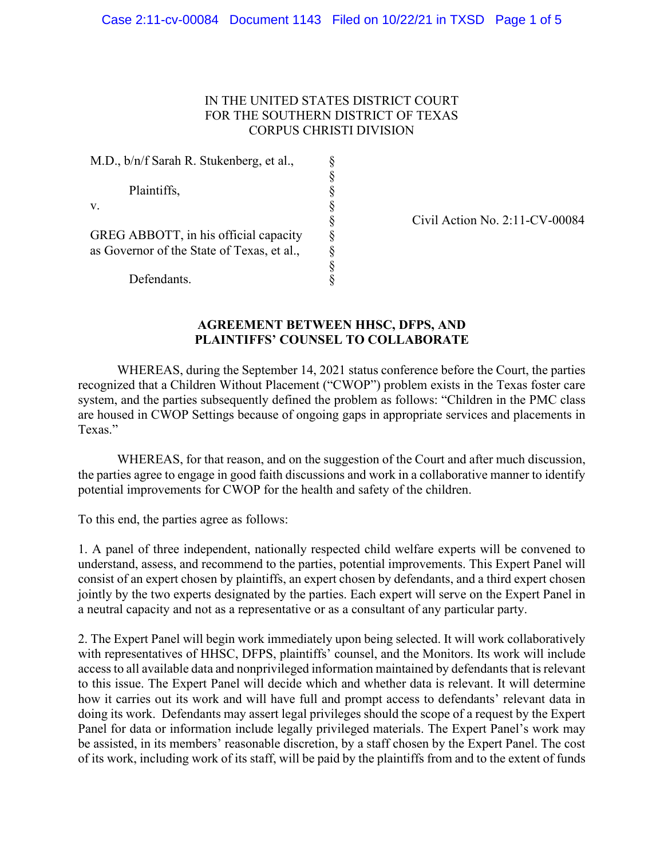## IN THE UNITED STATES DISTRICT COURT FOR THE SOUTHERN DISTRICT OF TEXAS CORPUS CHRISTI DIVISION

§

M.D., b/n/f Sarah R. Stukenberg, et al.,

v.

| Plaintiffs,<br>v.                                         |   |
|-----------------------------------------------------------|---|
| GREG ABBOTT, in his official capacity                     | Ş |
| as Governor of the State of Texas, et al.,<br>Defendants. | Ş |

Civil Action No. 2:11-CV-00084

## **AGREEMENT BETWEEN HHSC, DFPS, AND PLAINTIFFS' COUNSEL TO COLLABORATE**

WHEREAS, during the September 14, 2021 status conference before the Court, the parties recognized that a Children Without Placement ("CWOP") problem exists in the Texas foster care system, and the parties subsequently defined the problem as follows: "Children in the PMC class are housed in CWOP Settings because of ongoing gaps in appropriate services and placements in Texas."

WHEREAS, for that reason, and on the suggestion of the Court and after much discussion, the parties agree to engage in good faith discussions and work in a collaborative manner to identify potential improvements for CWOP for the health and safety of the children.

To this end, the parties agree as follows:

1. A panel of three independent, nationally respected child welfare experts will be convened to understand, assess, and recommend to the parties, potential improvements. This Expert Panel will consist of an expert chosen by plaintiffs, an expert chosen by defendants, and a third expert chosen jointly by the two experts designated by the parties. Each expert will serve on the Expert Panel in a neutral capacity and not as a representative or as a consultant of any particular party.

2. The Expert Panel will begin work immediately upon being selected. It will work collaboratively with representatives of HHSC, DFPS, plaintiffs' counsel, and the Monitors. Its work will include access to all available data and nonprivileged information maintained by defendants that is relevant to this issue. The Expert Panel will decide which and whether data is relevant. It will determine how it carries out its work and will have full and prompt access to defendants' relevant data in doing its work. Defendants may assert legal privileges should the scope of a request by the Expert Panel for data or information include legally privileged materials. The Expert Panel's work may be assisted, in its members' reasonable discretion, by a staff chosen by the Expert Panel. The cost of its work, including work of its staff, will be paid by the plaintiffs from and to the extent of funds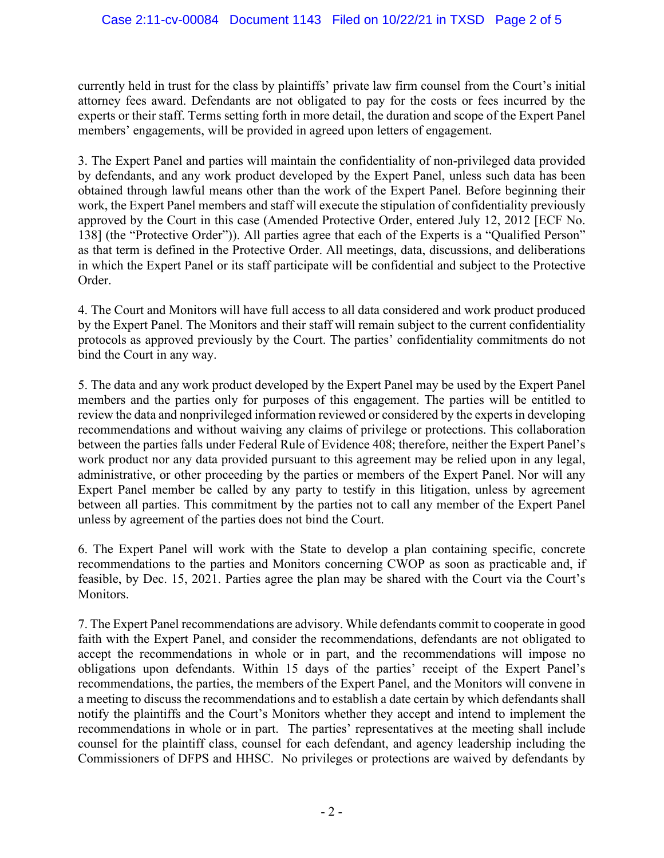currently held in trust for the class by plaintiffs' private law firm counsel from the Court's initial attorney fees award. Defendants are not obligated to pay for the costs or fees incurred by the experts or their staff. Terms setting forth in more detail, the duration and scope of the Expert Panel members' engagements, will be provided in agreed upon letters of engagement.

3. The Expert Panel and parties will maintain the confidentiality of non-privileged data provided by defendants, and any work product developed by the Expert Panel, unless such data has been obtained through lawful means other than the work of the Expert Panel. Before beginning their work, the Expert Panel members and staff will execute the stipulation of confidentiality previously approved by the Court in this case (Amended Protective Order, entered July 12, 2012 [ECF No. 138] (the "Protective Order")). All parties agree that each of the Experts is a "Qualified Person" as that term is defined in the Protective Order. All meetings, data, discussions, and deliberations in which the Expert Panel or its staff participate will be confidential and subject to the Protective Order.

4. The Court and Monitors will have full access to all data considered and work product produced by the Expert Panel. The Monitors and their staff will remain subject to the current confidentiality protocols as approved previously by the Court. The parties' confidentiality commitments do not bind the Court in any way.

5. The data and any work product developed by the Expert Panel may be used by the Expert Panel members and the parties only for purposes of this engagement. The parties will be entitled to review the data and nonprivileged information reviewed or considered by the experts in developing recommendations and without waiving any claims of privilege or protections. This collaboration between the parties falls under Federal Rule of Evidence 408; therefore, neither the Expert Panel's work product nor any data provided pursuant to this agreement may be relied upon in any legal, administrative, or other proceeding by the parties or members of the Expert Panel. Nor will any Expert Panel member be called by any party to testify in this litigation, unless by agreement between all parties. This commitment by the parties not to call any member of the Expert Panel unless by agreement of the parties does not bind the Court.

6. The Expert Panel will work with the State to develop a plan containing specific, concrete recommendations to the parties and Monitors concerning CWOP as soon as practicable and, if feasible, by Dec. 15, 2021. Parties agree the plan may be shared with the Court via the Court's Monitors.

7. The Expert Panel recommendations are advisory. While defendants commit to cooperate in good faith with the Expert Panel, and consider the recommendations, defendants are not obligated to accept the recommendations in whole or in part, and the recommendations will impose no obligations upon defendants. Within 15 days of the parties' receipt of the Expert Panel's recommendations, the parties, the members of the Expert Panel, and the Monitors will convene in a meeting to discuss the recommendations and to establish a date certain by which defendants shall notify the plaintiffs and the Court's Monitors whether they accept and intend to implement the recommendations in whole or in part. The parties' representatives at the meeting shall include counsel for the plaintiff class, counsel for each defendant, and agency leadership including the Commissioners of DFPS and HHSC. No privileges or protections are waived by defendants by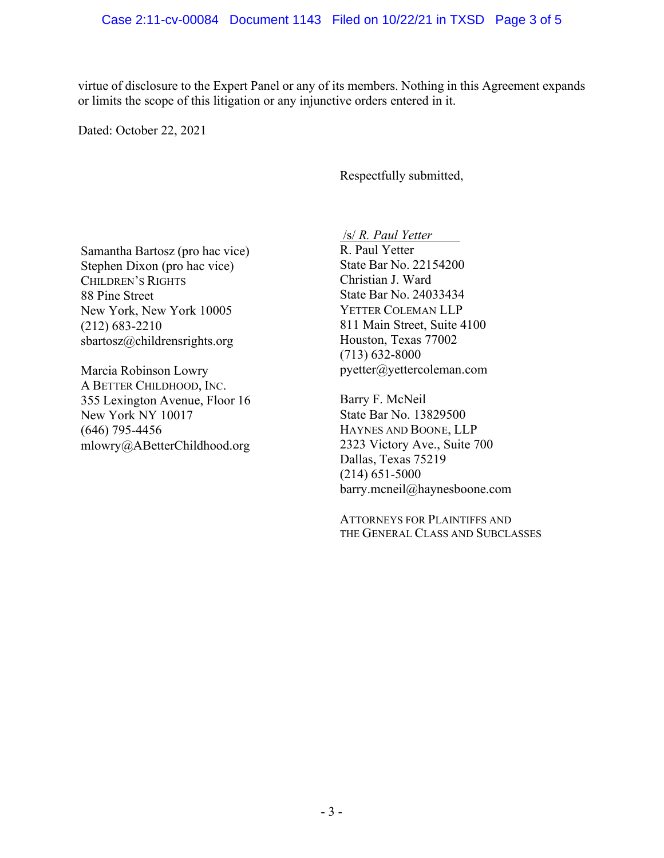virtue of disclosure to the Expert Panel or any of its members. Nothing in this Agreement expands or limits the scope of this litigation or any injunctive orders entered in it.

Dated: October 22, 2021

Respectfully submitted,

Samantha Bartosz (pro hac vice) Stephen Dixon (pro hac vice) CHILDREN'S RIGHTS 88 Pine Street New York, New York 10005 (212) 683-2210 [sbartosz@childrensrights.org](mailto:sbartosz@childrensrights.org)

Marcia Robinson Lowry A BETTER CHILDHOOD, INC. 355 Lexington Avenue, Floor 16 New York NY 10017 (646) 795-4456 [mlowry@ABetterChildhood.org](mailto:mlowry@ABetterChildhood.org) /s/ *R. Paul Yetter*

R. Paul Yetter State Bar No. 22154200 Christian J. Ward State Bar No. 24033434 YETTER COLEMAN LLP 811 Main Street, Suite 4100 Houston, Texas 77002 (713) 632-8000 [pyetter@yettercoleman.com](mailto:pyetter@yettercoleman.com)

Barry F. McNeil State Bar No. 13829500 HAYNES AND BOONE, LLP 2323 Victory Ave., Suite 700 Dallas, Texas 75219 (214) 651-5000 [barry.mcneil@haynesboone.com](mailto:barry.mcneil@haynesboone.com)

ATTORNEYS FOR PLAINTIFFS AND THE GENERAL CLASS AND SUBCLASSES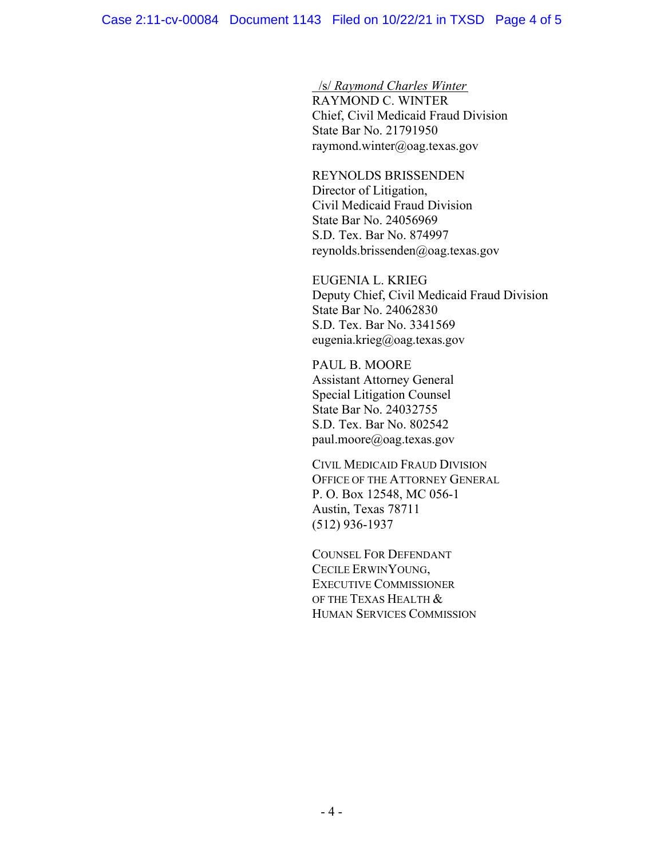/s/ *Raymond Charles Winter* RAYMOND C. WINTER Chief, Civil Medicaid Fraud Division State Bar No. 21791950 [raymond.winter@oag.texas.gov](mailto:raymond.winter@oag.texas.gov)

REYNOLDS BRISSENDEN Director of Litigation, Civil Medicaid Fraud Division State Bar No. 24056969 S.D. Tex. Bar No. 874997 reynolds.brissenden@oag.texas.gov

EUGENIA L. KRIEG Deputy Chief, Civil Medicaid Fraud Division State Bar No. 24062830 S.D. Tex. Bar No. 3341569 [eugenia.krieg@oag.texas.gov](mailto:eugenia.krieg@oag.texas.gov)

PAUL B. MOORE Assistant Attorney General Special Litigation Counsel State Bar No. 24032755 S.D. Tex. Bar No. 802542 paul.moore@oag.texas.gov

CIVIL MEDICAID FRAUD DIVISION OFFICE OF THE ATTORNEY GENERAL P. O. Box 12548, MC 056-1 Austin, Texas 78711 (512) 936-1937

COUNSEL FOR DEFENDANT CECILE ERWINYOUNG, EXECUTIVE COMMISSIONER OF THE TEXAS HEALTH & HUMAN SERVICES COMMISSION